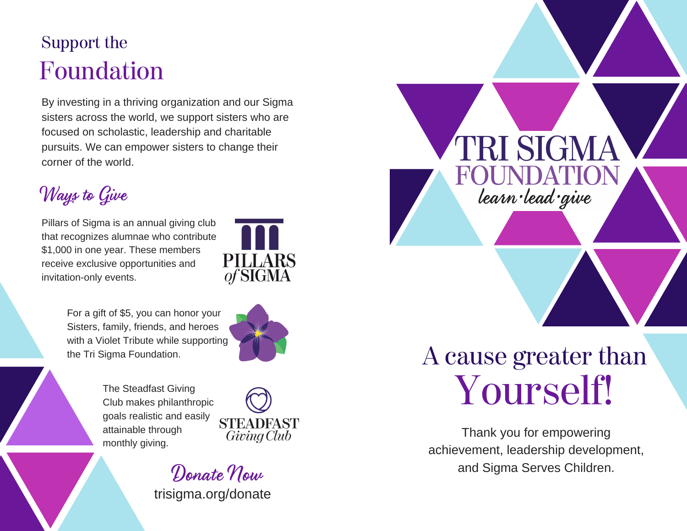# Support the Foundation

By investing in a thriving organization and our Sigma sisters across the world, we support sisters who are focused on scholastic, leadership and charitable pursuits. We can empower sisters to change their corner of the world.

Ways to Give

Pillars of Sigma is an annual giving club that recognizes alumnae who contribute \$1,000 in one year. These members receive exclusive opportunities and invitation-only events.



For a gift of \$5, you can honor your Sisters, family, friends, and heroes with a Violet Tribute while supporting



The Steadfast Giving Club makes philanthropic goals realistic and easily attainable through monthly giving.



trisigma.org/donate

# the Tri Sigma Foundation. **The Tri Sigma Foundation.** A cause greater than Yourself!

PRI SIGN

learn lead give

Thank you for empowering achievement, leadership development, Donate Now and Sigma Serves Children.